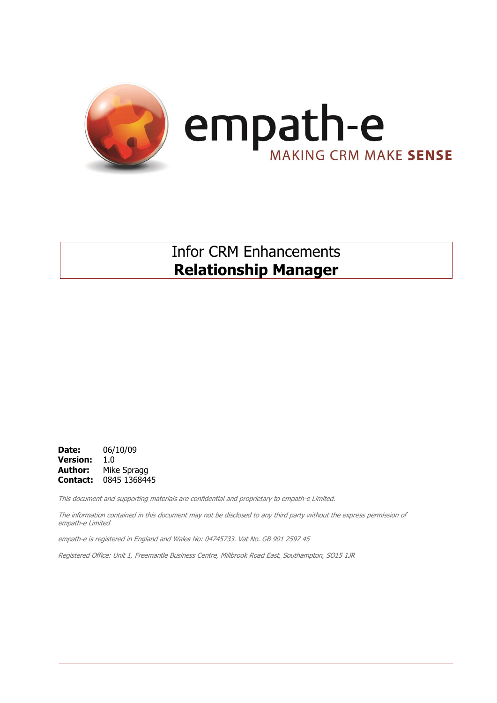

### Infor CRM Enhancements **Relationship Manager**

**Date:** 06/10/09 **Version:** 1.0 **Author:** Mike Spragg **Contact:** 0845 1368445

This document and supporting materials are confidential and proprietary to empath-e Limited.

The information contained in this document may not be disclosed to any third party without the express permission of empath-e Limited

empath-e is registered in England and Wales No: 04745733. Vat No. GB 901 2597 45

Registered Office: Unit 1, Freemantle Business Centre, Millbrook Road East, Southampton, SO15 1JR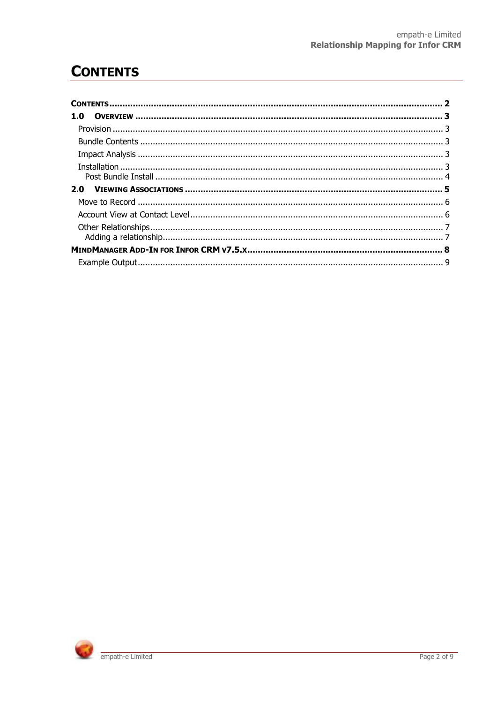## <span id="page-1-0"></span>**CONTENTS**

| 1.0 |  |
|-----|--|
|     |  |
|     |  |
|     |  |
|     |  |
|     |  |
|     |  |
|     |  |
|     |  |
|     |  |
|     |  |
|     |  |
|     |  |

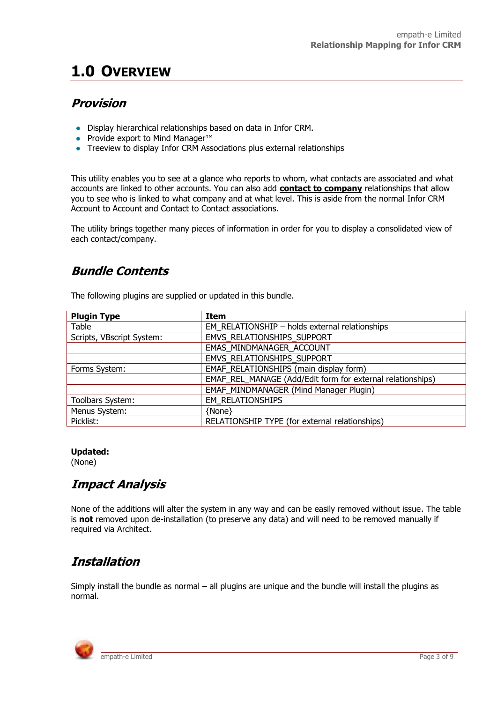# <span id="page-2-0"></span>**1.0 OVERVIEW**

### <span id="page-2-1"></span>**Provision**

- Display hierarchical relationships based on data in Infor CRM.
- Provide export to Mind Manager™
- Treeview to display Infor CRM Associations plus external relationships

This utility enables you to see at a glance who reports to whom, what contacts are associated and what accounts are linked to other accounts. You can also add **contact to company** relationships that allow you to see who is linked to what company and at what level. This is aside from the normal Infor CRM Account to Account and Contact to Contact associations.

The utility brings together many pieces of information in order for you to display a consolidated view of each contact/company.

### <span id="page-2-2"></span>**Bundle Contents**

The following plugins are supplied or updated in this bundle.

| <b>Plugin Type</b>        | Item                                                       |
|---------------------------|------------------------------------------------------------|
| Table                     | EM RELATIONSHIP - holds external relationships             |
| Scripts, VBscript System: | EMVS RELATIONSHIPS SUPPORT                                 |
|                           | EMAS MINDMANAGER ACCOUNT                                   |
|                           | EMVS RELATIONSHIPS SUPPORT                                 |
| Forms System:             | EMAF RELATIONSHIPS (main display form)                     |
|                           | EMAF_REL_MANAGE (Add/Edit form for external relationships) |
|                           | EMAF MINDMANAGER (Mind Manager Plugin)                     |
| Toolbars System:          | <b>EM RELATIONSHIPS</b>                                    |
| Menus System:             | {None}                                                     |
| Picklist:                 | RELATIONSHIP TYPE (for external relationships)             |

#### **Updated:**

(None)

### <span id="page-2-3"></span>**Impact Analysis**

None of the additions will alter the system in any way and can be easily removed without issue. The table is **not** removed upon de-installation (to preserve any data) and will need to be removed manually if required via Architect.

### <span id="page-2-4"></span>**Installation**

Simply install the bundle as normal – all plugins are unique and the bundle will install the plugins as normal.

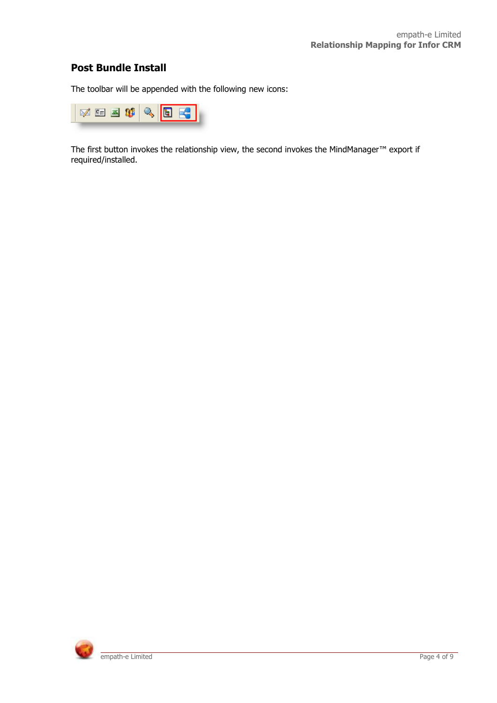#### <span id="page-3-0"></span>**Post Bundle Install**

The toolbar will be appended with the following new icons:



The first button invokes the relationship view, the second invokes the MindManager™ export if required/installed.

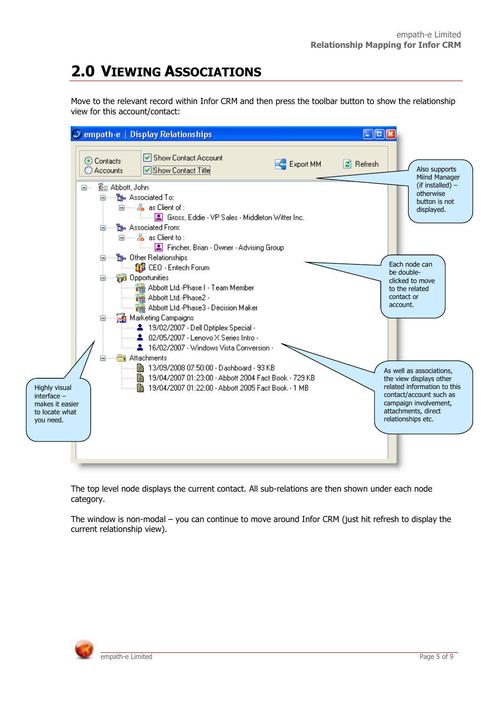# <span id="page-4-0"></span>**2.0 VIEWING ASSOCIATIONS**

Move to the relevant record within Infor CRM and then press the toolbar button to show the relationship view for this account/contact:



The top level node displays the current contact. All sub-relations are then shown under each node category.

The window is non-modal – you can continue to move around Infor CRM (just hit refresh to display the current relationship view).

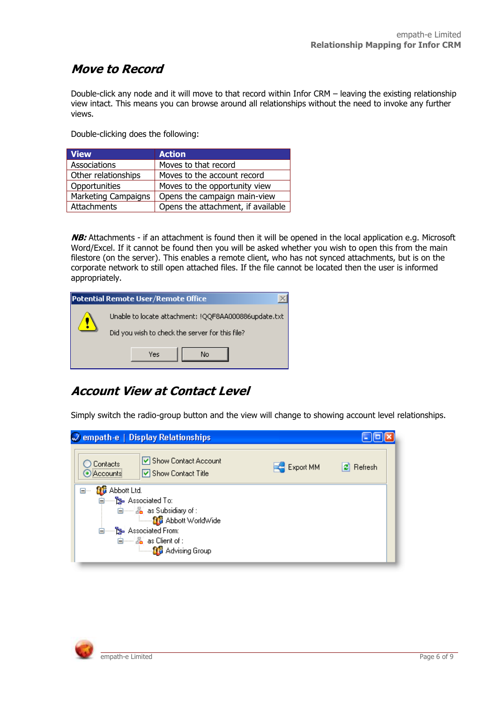### <span id="page-5-0"></span>**Move to Record**

Double-click any node and it will move to that record within Infor CRM – leaving the existing relationship view intact. This means you can browse around all relationships without the need to invoke any further views.

Double-clicking does the following:

| <b>View</b>                | <b>Action</b>                      |
|----------------------------|------------------------------------|
| Associations               | Moves to that record               |
| Other relationships        | Moves to the account record        |
| Opportunities              | Moves to the opportunity view      |
| <b>Marketing Campaigns</b> | Opens the campaign main-view       |
| Attachments                | Opens the attachment, if available |

**NB:** Attachments - if an attachment is found then it will be opened in the local application e.g. Microsoft Word/Excel. If it cannot be found then you will be asked whether you wish to open this from the main filestore (on the server). This enables a remote client, who has not synced attachments, but is on the corporate network to still open attached files. If the file cannot be located then the user is informed appropriately.

|                                                                                                         | Potential Remote User/Remote Office |
|---------------------------------------------------------------------------------------------------------|-------------------------------------|
| Unable to locate attachment: !QQF8AA000886update.txt<br>Did you wish to check the server for this file? |                                     |
|                                                                                                         | Yes<br>No                           |

### <span id="page-5-1"></span>**Account View at Contact Level**

Simply switch the radio-group button and the view will change to showing account level relationships.

| $\mathcal{D}$ empath-e   Display Relationships                                                                                                                                                            |           |              |
|-----------------------------------------------------------------------------------------------------------------------------------------------------------------------------------------------------------|-----------|--------------|
| □ Show Contact Account<br>Contacts<br>□ Show Contact Title<br>) iAccountsi                                                                                                                                | Export MM | Refresh<br>œ |
| <b>BE</b> Abbott Ltd.<br>⊟…<br><b>E</b> -B-Associated To:<br>自 2 as Subsidiary of:<br><b>Example 3</b> Abbott WorldWide<br><b>E</b> -B-Associated From:<br>自 2 as Client of:<br><b>Bri</b> Advising Group |           |              |

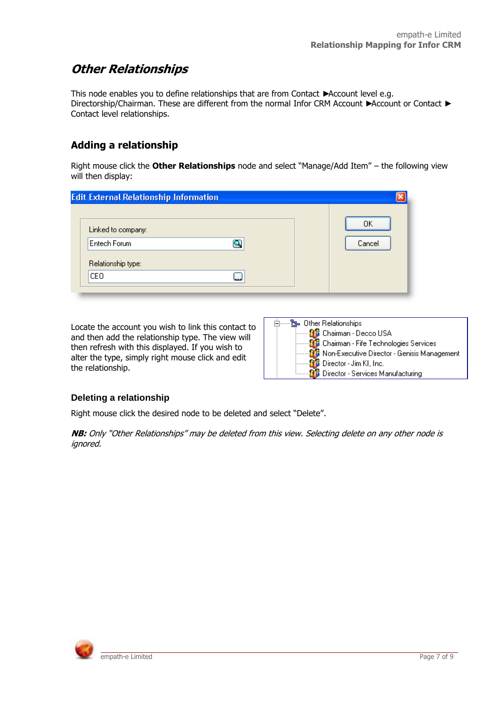### <span id="page-6-0"></span>**Other Relationships**

This node enables you to define relationships that are from Contact ►Account level e.g. Directorship/Chairman. These are different from the normal Infor CRM Account ► Account or Contact ► Contact level relationships.

#### <span id="page-6-1"></span>**Adding a relationship**

Right mouse click the **Other Relationships** node and select "Manage/Add Item" – the following view will then display:

| OΚ     |
|--------|
|        |
| Cancel |
|        |
|        |
|        |

Locate the account you wish to link this contact to and then add the relationship type. The view will then refresh with this displayed. If you wish to alter the type, simply right mouse click and edit the relationship.

| টু Other Relationships                                |
|-------------------------------------------------------|
| <b>fr</b> Chairman - Decco USA                        |
| <b>Co</b> Chairman - Fife Technologies Services       |
| <b>11</b> Non-Executive Director - Genisis Management |
| <b>But</b> Director - Jim KI, Inc.                    |
| <b>Director - Services Manufacturing</b>              |

#### **Deleting a relationship**

Right mouse click the desired node to be deleted and select "Delete".

**NB:** Only "Other Relationships" may be deleted from this view. Selecting delete on any other node is ignored.

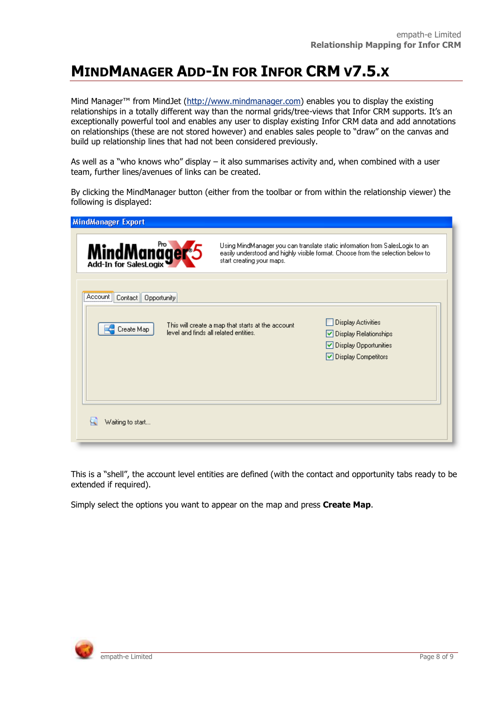# <span id="page-7-0"></span>**MINDMANAGER ADD-IN FOR INFOR CRM V7.5.X**

Mind Manager™ from MindJet ([http://www.mindmanager.com\)](http://www.mindmanager.com/) enables you to display the existing relationships in a totally different way than the normal grids/tree-views that Infor CRM supports. It's an exceptionally powerful tool and enables any user to display existing Infor CRM data and add annotations on relationships (these are not stored however) and enables sales people to "draw" on the canvas and build up relationship lines that had not been considered previously.

As well as a "who knows who" display – it also summarises activity and, when combined with a user team, further lines/avenues of links can be created.

By clicking the MindManager button (either from the toolbar or from within the relationship viewer) the following is displayed:

| <b>MindManager Export</b>                                                                                                                                                                                                 |                                                   |                                                                                                     |
|---------------------------------------------------------------------------------------------------------------------------------------------------------------------------------------------------------------------------|---------------------------------------------------|-----------------------------------------------------------------------------------------------------|
| MindManager <sup>5</sup><br>Using MindManager you can translate static information from SalesLogix to an-<br>easily understood and highly visible format. Choose from the selection below to<br>start creating your maps. |                                                   |                                                                                                     |
| ∶Account il<br>Contact   <br>Opportunity<br>Create Map<br>level and finds all related entities.                                                                                                                           | This will create a map that starts at the account | Display Activities<br>$ $ Display Relationships<br>◘ Display Opportunities<br>◘ Display Competitors |
| Waiting to start                                                                                                                                                                                                          |                                                   |                                                                                                     |

This is a "shell", the account level entities are defined (with the contact and opportunity tabs ready to be extended if required).

Simply select the options you want to appear on the map and press **Create Map**.